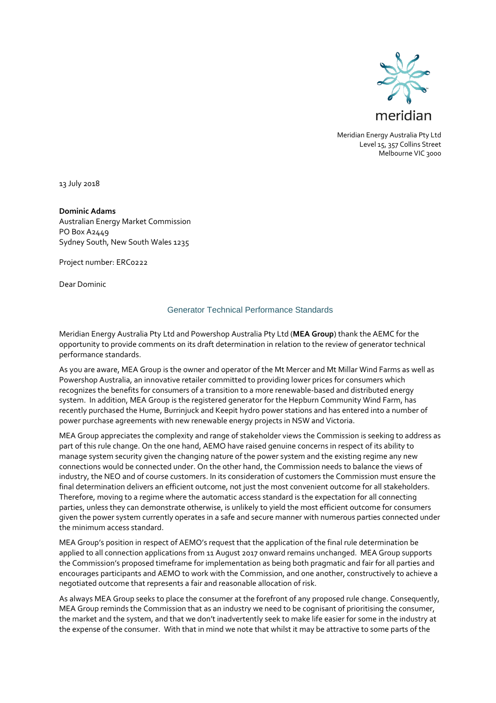

Meridian Energy Australia Pty Ltd Level 15, 357 Collins Street Melbourne VIC 3000

13 July 2018

**Dominic Adams** Australian Energy Market Commission PO Box A2449 Sydney South, New South Wales 1235

Project number: ERC0222

Dear Dominic

# Generator Technical Performance Standards

Meridian Energy Australia Pty Ltd and Powershop Australia Pty Ltd (**MEA Group**) thank the AEMC for the opportunity to provide comments on its draft determination in relation to the review of generator technical performance standards.

As you are aware, MEA Group is the owner and operator of the Mt Mercer and Mt Millar Wind Farms as well as Powershop Australia, an innovative retailer committed to providing lower prices for consumers which recognizes the benefits for consumers of a transition to a more renewable-based and distributed energy system. In addition, MEA Group is the registered generator for the Hepburn Community Wind Farm, has recently purchased the Hume, Burrinjuck and Keepit hydro power stations and has entered into a number of power purchase agreements with new renewable energy projects in NSW and Victoria.

MEA Group appreciates the complexity and range of stakeholder views the Commission is seeking to address as part of this rule change. On the one hand, AEMO have raised genuine concerns in respect of its ability to manage system security given the changing nature of the power system and the existing regime any new connections would be connected under. On the other hand, the Commission needs to balance the views of industry, the NEO and of course customers. In its consideration of customers the Commission must ensure the final determination delivers an efficient outcome, not just the most convenient outcome for all stakeholders. Therefore, moving to a regime where the automatic access standard is the expectation for all connecting parties, unless they can demonstrate otherwise, is unlikely to yield the most efficient outcome for consumers given the power system currently operates in a safe and secure manner with numerous parties connected under the minimum access standard.

MEA Group's position in respect of AEMO's request that the application of the final rule determination be applied to all connection applications from 11 August 2017 onward remains unchanged. MEA Group supports the Commission's proposed timeframe for implementation as being both pragmatic and fair for all parties and encourages participants and AEMO to work with the Commission, and one another, constructively to achieve a negotiated outcome that represents a fair and reasonable allocation of risk.

As always MEA Group seeks to place the consumer at the forefront of any proposed rule change. Consequently, MEA Group reminds the Commission that as an industry we need to be cognisant of prioritising the consumer, the market and the system, and that we don't inadvertently seek to make life easier for some in the industry at the expense of the consumer. With that in mind we note that whilst it may be attractive to some parts of the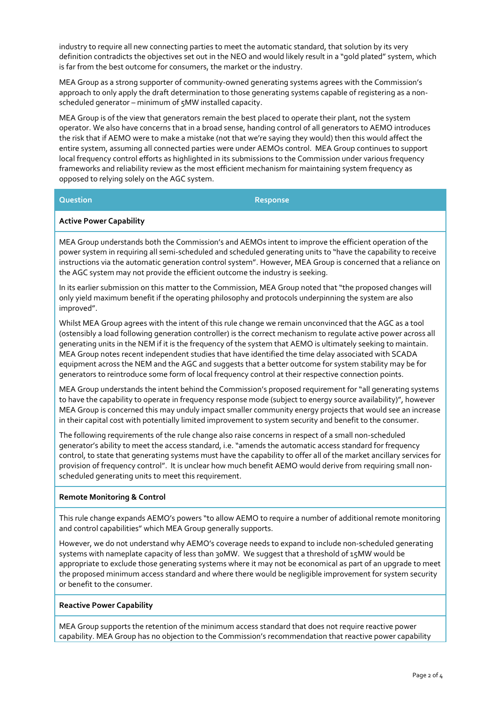industry to require all new connecting parties to meet the automatic standard, that solution by its very definition contradicts the objectives set out in the NEO and would likely result in a "gold plated" system, which is far from the best outcome for consumers, the market or the industry.

MEA Group as a strong supporter of community-owned generating systems agrees with the Commission's approach to only apply the draft determination to those generating systems capable of registering as a nonscheduled generator – minimum of 5MW installed capacity.

MEA Group is of the view that generators remain the best placed to operate their plant, not the system operator. We also have concerns that in a broad sense, handing control of all generators to AEMO introduces the risk that if AEMO were to make a mistake (not that we're saying they would) then this would affect the entire system, assuming all connected parties were under AEMOs control. MEA Group continues to support local frequency control efforts as highlighted in its submissions to the Commission under various frequency frameworks and reliability review as the most efficient mechanism for maintaining system frequency as opposed to relying solely on the AGC system.

# **Question Response**

# **Active Power Capability**

MEA Group understands both the Commission's and AEMOs intent to improve the efficient operation of the power system in requiring all semi-scheduled and scheduled generating units to "have the capability to receive instructions via the automatic generation control system". However, MEA Group is concerned that a reliance on the AGC system may not provide the efficient outcome the industry is seeking.

In its earlier submission on this matter to the Commission, MEA Group noted that "the proposed changes will only yield maximum benefit if the operating philosophy and protocols underpinning the system are also improved".

Whilst MEA Group agrees with the intent of this rule change we remain unconvinced that the AGC as a tool (ostensibly a load following generation controller) is the correct mechanism to regulate active power across all generating units in the NEM if it is the frequency of the system that AEMO is ultimately seeking to maintain. MEA Group notes recent independent studies that have identified the time delay associated with SCADA equipment across the NEM and the AGC and suggests that a better outcome for system stability may be for generators to reintroduce some form of local frequency control at their respective connection points.

MEA Group understands the intent behind the Commission's proposed requirement for "all generating systems to have the capability to operate in frequency response mode (subject to energy source availability)", however MEA Group is concerned this may unduly impact smaller community energy projects that would see an increase in their capital cost with potentially limited improvement to system security and benefit to the consumer.

The following requirements of the rule change also raise concerns in respect of a small non-scheduled generator's ability to meet the access standard, i.e. "amends the automatic access standard for frequency control, to state that generating systems must have the capability to offer all of the market ancillary services for provision of frequency control". It is unclear how much benefit AEMO would derive from requiring small nonscheduled generating units to meet this requirement.

## **Remote Monitoring & Control**

This rule change expands AEMO's powers "to allow AEMO to require a number of additional remote monitoring and control capabilities" which MEA Group generally supports.

However, we do not understand why AEMO's coverage needs to expand to include non-scheduled generating systems with nameplate capacity of less than 30MW. We suggest that a threshold of 15MW would be appropriate to exclude those generating systems where it may not be economical as part of an upgrade to meet the proposed minimum access standard and where there would be negligible improvement for system security or benefit to the consumer.

# **Reactive Power Capability**

MEA Group supports the retention of the minimum access standard that does not require reactive power capability. MEA Group has no objection to the Commission's recommendation that reactive power capability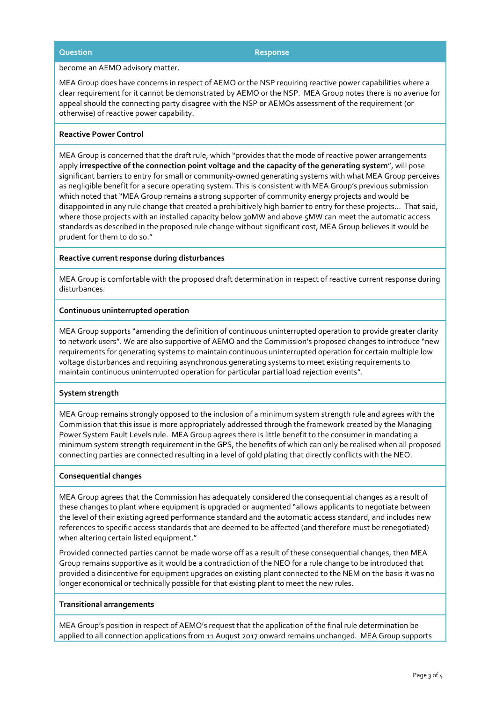## **Question Response**

#### become an AEMO advisory matter.

MEA Group does have concerns in respect of AEMO or the NSP requiring reactive power capabilities where a clear requirement for it cannot be demonstrated by AEMO or the NSP. MEA Group notes there is no avenue for appeal should the connecting party disagree with the NSP or AEMOs assessment of the requirement (or otherwise) of reactive power capability.

# **Reactive Power Control**

MEA Group is concerned that the draft rule, which "provides that the mode of reactive power arrangements apply **irrespective of the connection point voltage and the capacity of the generating system**", will pose significant barriers to entry for small or community-owned generating systems with what MEA Group perceives as negligible benefit for a secure operating system. This is consistent with MEA Group's previous submission which noted that "MEA Group remains a strong supporter of community energy projects and would be disappointed in any rule change that created a prohibitively high barrier to entry for these projects... That said, where those projects with an installed capacity below 30MW and above 5MW can meet the automatic access standards as described in the proposed rule change without significant cost, MEA Group believes it would be prudent for them to do so."

#### **Reactive current response during disturbances**

MEA Group is comfortable with the proposed draft determination in respect of reactive current response during disturbances.

## **Continuous uninterrupted operation**

MEA Group supports "amending the definition of continuous uninterrupted operation to provide greater clarity to network users". We are also supportive of AEMO and the Commission's proposed changes to introduce "new requirements for generating systems to maintain continuous uninterrupted operation for certain multiple low voltage disturbances and requiring asynchronous generating systems to meet existing requirements to maintain continuous uninterrupted operation for particular partial load rejection events".

## **System strength**

MEA Group remains strongly opposed to the inclusion of a minimum system strength rule and agrees with the Commission that this issue is more appropriately addressed through the framework created by the Managing Power System Fault Levels rule. MEA Group agrees there is little benefit to the consumer in mandating a minimum system strength requirement in the GPS, the benefits of which can only be realised when all proposed connecting parties are connected resulting in a level of gold plating that directly conflicts with the NEO.

## **Consequential changes**

MEA Group agrees that the Commission has adequately considered the consequential changes as a result of these changes to plant where equipment is upgraded or augmented "allows applicants to negotiate between the level of their existing agreed performance standard and the automatic access standard, and includes new references to specific access standards that are deemed to be affected (and therefore must be renegotiated) when altering certain listed equipment."

Provided connected parties cannot be made worse off as a result of these consequential changes, then MEA Group remains supportive as it would be a contradiction of the NEO for a rule change to be introduced that provided a disincentive for equipment upgrades on existing plant connected to the NEM on the basis it was no longer economical or technically possible for that existing plant to meet the new rules.

#### **Transitional arrangements**

MEA Group's position in respect of AEMO's request that the application of the final rule determination be applied to all connection applications from 11 August 2017 onward remains unchanged. MEA Group supports